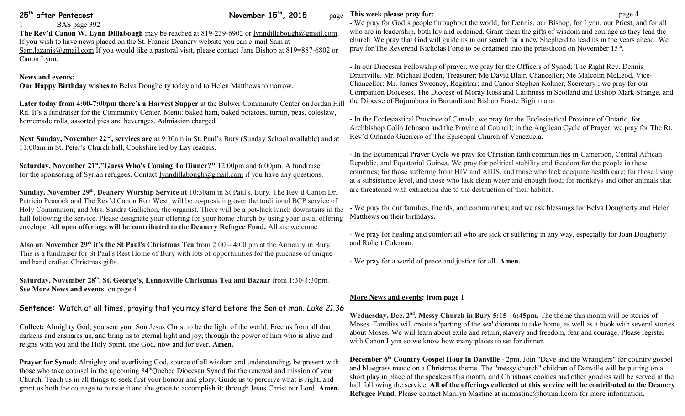#### **25<sup>th</sup> after Pentecost November 15<sup>th</sup>, 2015** page

BAS page 392

**The Rev'd Canon W. Lynn Dillabough** may be reached at 819-239-6902 or [lynndillabough@gmail.com.](mailto:lynndillabough@gmail.com) If you wish to have news placed on the St. Francis Deanery website you can e-mail Sam at [Sam.lazanis@gmail.com](mailto:Sam.lazanis@gmail.com) If you would like a pastoral visit, please contact Jane Bishop at 819=887-6802 or Canon Lynn.

#### **News and events:**

**Our Happy Birthday wishes to** Belva Dougherty today and to Helen Matthews tomorrow.

**Later today from 4:00-7:00pm there's a Harvest Supper** at the Bulwer Community Center on Jordan Hill Rd. It's a fundraiser for the Community Center. Menu: baked ham, baked potatoes, turnip, peas, coleslaw, homemade rolls, assorted pies and beverages. Admission charged.

**Next Sunday, November 22nd, services are** at 9:30am in St. Paul's Bury (Sunday School available) and at 11:00am in St. Peter's Church hall, Cookshire led by Lay readers.

**Saturday, November 21st ."Guess Who's Coming To Dinner?"** 12:00pm and 6:00pm. A fundraiser for the sponsoring of Syrian refugees. Contact [lynndillabough@gmail.com](mailto:lynndillabough@gmail.com) if you have any questions.

**Sunday, November 29th** , **Deanery Worship Service at** 10:30am in St Paul's, Bury. The Rev'd Canon Dr. Patricia Peacock and The Rev'd Canon Ron West, will be co-presiding over the traditional BCP service of Holy Communion; and Mrs. Sandra Gallichon, the organist. There will be a pot-luck lunch downstairs in the hall following the service. Please designate your offering for your home church by using your usual offering envelope. **All open offerings will be contributed to the Deanery Refugee Fund.** All are welcome.

**Also on November 29th it's the St Paul's Christmas Tea** from 2:00 – 4:00 pm at the Armoury in Bury. This is a fundraiser for St Paul's Rest Home of Bury with lots of opportunities for the purchase of unique and hand crafted Christmas gifts.

**Saturday, November 28th, St. George's, Lennoxville Christmas Tea and Bazaar** from 1:30-4:30pm. **See More News and events** on page 4

**Sentence:** Watch at all times, praying that you may stand before the Son of man. *Luke 21.36*

**Collect:** Almighty God, you sent your Son Jesus Christ to be the light of the world. Free us from all that darkens and ensnares us, and bring us to eternal light and joy; through the power of him who is alive and reigns with you and the Holy Spirit, one God, now and for ever. **Amen.**

**Prayer for Synod:** Almighty and everliving God, source of all wisdom and understanding, be present with those who take counsel in the upcoming 84<sup>th</sup>Quebec Diocesan Synod for the renewal and mission of your Church. Teach us in all things to seek first your honour and glory. Guide us to perceive what is right, and grant us both the courage to pursue it and the grace to accomplish it; through Jesus Christ our Lord. **Amen.**

## **This week please pray for: page 4**

**-** We pray for God's people throughout the world; for Dennis, our Bishop, for Lynn, our Priest, and for all who are in leadership, both lay and ordained. Grant them the gifts of wisdom and courage as they lead the church. We pray that God will guide us in our search for a new Shepherd to lead us in the years ahead. We pray for The Reverend Nicholas Forte to be ordained into the priesthood on November 15<sup>th</sup>.

- In our Diocesan Fellowship of prayer, we pray for the Officers of Synod: The Right Rev. Dennis Drainville, Mr. Michael Boden, Treasurer; Me David Blair, Chancellor; Me Malcolm McLeod, Vice-Chancellor; Mr. James Sweeney, Registrar; and Canon Stephen Kohner, Secretary ; we pray for our Companion Dioceses, The Diocese of Moray Ross and Caithness in Scotland and Bishop Mark Strange, and the Diocese of Bujumbura in Burundi and Bishop Eraste Bigirimana.

- In the Ecclesiastical Province of Canada, we pray for the Ecclesiastical Province of Ontario, for Archbishop Colin Johnson and the Provincial Council; in the Anglican Cycle of Prayer, we pray for The Rt. Rev'd Orlando Guerrero of The Episcopal Church of Venezuela.

- In the Ecumenical Prayer Cycle we pray for Christian faith communities in Cameroon, Central African Republic, and Equatorial Guinea. We pray for political stability and freedom for the people in these countries; for those suffering from HIV and AIDS, and those who lack adequate health care; for those living at a subsistence level, and those who lack clean water and enough food; for monkeys and other animals that are threatened with extinction due to the destruction of their habitat.

- We pray for our families, friends, and communities; and we ask blessings for Belva Dougherty and Helen Matthews on their birthdays.

- We pray for healing and comfort all who are sick or suffering in any way, especially for Joan Dougherty and Robert Coleman.

- We pray for a world of peace and justice for all. **Amen.**

# **More News and events: from page 1**

Wednesday, Dec. 2<sup>nd</sup>, Messy Church in Bury 5:15 - 6:45pm. The theme this month will be stories of Moses. Families will create a 'parting of the sea' diorama to take home, as well as a book with several stories about Moses. We will learn about exile and return, slavery and freedom, fear and courage. Please register with Canon Lynn so we know how many places to set for dinner.

**December 6th Country Gospel Hour in Danville** - 2pm. Join "Dave and the Wranglers" for country gospel and bluegrass music on a Christmas theme. The "messy church" children of Danville will be putting on a short play in place of the speakers this month, and Christmas cookies and other goodies will be served in the hall following the service. **All of the offerings collected at this service will be contributed to the Deanery Refugee Fund.** Please contact Marilyn Mastine at [m.mastine@hotmail.com](mailto:m.mastine@hotmail.com) for more information.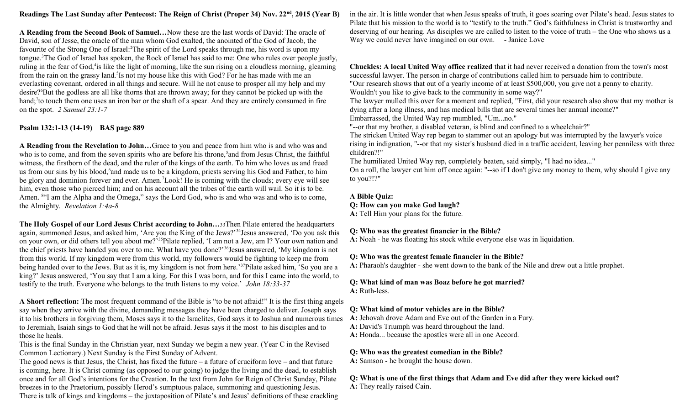## **Readings The Last Sunday after Pentecost: The Reign of Christ (Proper 34) Nov. 22nd, 2015 (Year B)**

**A Reading from the Second Book of Samuel…**Now these are the last words of David: The oracle of David, son of Jesse, the oracle of the man whom God exalted, the anointed of the God of Jacob, the favourite of the Strong One of Israel:<sup>2</sup>The spirit of the Lord speaks through me, his word is upon my tongue.<sup>3</sup>The God of Israel has spoken, the Rock of Israel has said to me: One who rules over people justly, ruling in the fear of God,<sup>4</sup> is like the light of morning, like the sun rising on a cloudless morning, gleaming from the rain on the grassy land.<sup>5</sup>Is not my house like this with God? For he has made with me an everlasting covenant, ordered in all things and secure. Will he not cause to prosper all my help and my desire?<sup>6</sup>But the godless are all like thorns that are thrown away; for they cannot be picked up with the hand;<sup>7</sup> to touch them one uses an iron bar or the shaft of a spear. And they are entirely consumed in fire on the spot. *2 Samuel 23:1-7*

## **Psalm 132:1-13 (14-19) BAS page 889**

**A Reading from the Revelation to John…**Grace to you and peace from him who is and who was and who is to come, and from the seven spirits who are before his throne,<sup>5</sup> and from Jesus Christ, the faithful witness, the firstborn of the dead, and the ruler of the kings of the earth. To him who loves us and freed us from our sins by his blood, and made us to be a kingdom, priests serving his God and Father, to him be glory and dominion forever and ever. Amen. Look! He is coming with the clouds; every eye will see him, even those who pierced him; and on his account all the tribes of the earth will wail. So it is to be. Amen. <sup>84</sup>I am the Alpha and the Omega," says the Lord God, who is and who was and who is to come, the Almighty. *Revelation 1:4a-8*

**The Holy Gospel of our Lord Jesus Christ according to John…**33Then Pilate entered the headquarters again, summoned Jesus, and asked him, 'Are you the King of the Jews?'<sup>34</sup>Jesus answered, 'Do you ask this on your own, or did others tell you about me?'<sup>35</sup>Pilate replied, 'I am not a Jew, am I? Your own nation and the chief priests have handed you over to me. What have you done?'<sup>36</sup>Jesus answered, 'My kingdom is not from this world. If my kingdom were from this world, my followers would be fighting to keep me from being handed over to the Jews. But as it is, my kingdom is not from here.'<sup>37</sup>Pilate asked him, 'So vou are a king?' Jesus answered, 'You say that I am a king. For this I was born, and for this I came into the world, to testify to the truth. Everyone who belongs to the truth listens to my voice.' *John 18:33-37* 

**A Short reflection:** The most frequent command of the Bible is "to be not afraid!" It is the first thing angels say when they arrive with the divine, demanding messages they have been charged to deliver. Joseph says it to his brothers in forgiving them, Moses says it to the Israelites, God says it to Joshua and numerous times to Jeremiah, Isaiah sings to God that he will not be afraid. Jesus says it the most to his disciples and to those he heals.

This is the final Sunday in the Christian year, next Sunday we begin a new year. (Year C in the Revised Common Lectionary.) Next Sunday is the First Sunday of Advent.

The good news is that Jesus, the Christ, has fixed the future  $-$  a future of cruciform love  $-$  and that future is coming, here. It is Christ coming (as opposed to our going) to judge the living and the dead, to establish once and for all God's intentions for the Creation. In the text from John for Reign of Christ Sunday, Pilate breezes in to the Praetorium, possibly Herod's sumptuous palace, summoning and questioning Jesus. There is talk of kings and kingdoms – the juxtaposition of Pilate's and Jesus' definitions of these crackling in the air. It is little wonder that when Jesus speaks of truth, it goes soaring over Pilate's head. Jesus states to Pilate that his mission to the world is to "testify to the truth." God's faithfulness in Christ is trustworthy and deserving of our hearing. As disciples we are called to listen to the voice of truth – the One who shows us a Way we could never have imagined on our own. - Janice Love

**Chuckles: A local United Way office realized** that it had never received a donation from the town's most successful lawyer. The person in charge of contributions called him to persuade him to contribute. "Our research shows that out of a yearly income of at least \$500,000, you give not a penny to charity. Wouldn't you like to give back to the community in some way?"

The lawyer mulled this over for a moment and replied, "First, did your research also show that my mother is dying after a long illness, and has medical bills that are several times her annual income?"

Embarrassed, the United Way rep mumbled, "Um...no."

"--or that my brother, a disabled veteran, is blind and confined to a wheelchair?"

The stricken United Way rep began to stammer out an apology but was interrupted by the lawyer's voice rising in indignation, "--or that my sister's husband died in a traffic accident, leaving her penniless with three children?!"

The humiliated United Way rep, completely beaten, said simply, "I had no idea..."

On a roll, the lawyer cut him off once again: "--so if I don't give any money to them, why should I give any to you?!?"

#### **A Bible Quiz:**

#### **Q: How can you make God laugh?**

**A:** Tell Him your plans for the future.

#### **Q: Who was the greatest financier in the Bible?**

**A:** Noah - he was floating his stock while everyone else was in liquidation.

#### **Q: Who was the greatest female financier in the Bible?**

**A:** Pharaoh's daughter - she went down to the bank of the Nile and drew out a little prophet.

# **Q: What kind of man was Boaz before he got married?**

A: Ruth-less.

# **Q: What kind of motor vehicles are in the Bible?**

**A:** Jehovah drove Adam and Eve out of the Garden in a Fury.

**A:** David's Triumph was heard throughout the land.

A: Honda... because the apostles were all in one Accord.

## **Q: Who was the greatest comedian in the Bible?**

**A:** Samson - he brought the house down.

**Q: What is one of the first things that Adam and Eve did after they were kicked out? A:** They really raised Cain.